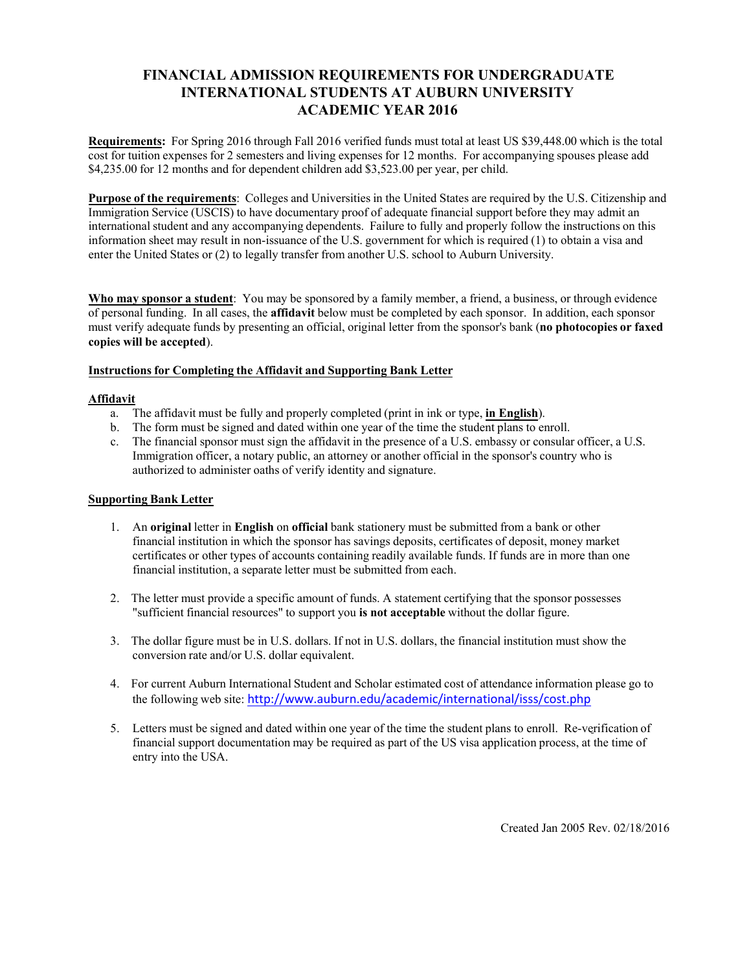## **FINANCIAL ADMISSION REQUIREMENTS FOR UNDERGRADUATE INTERNATIONAL STUDENTS AT AUBURN UNIVERSITY ACADEMIC YEAR 2016**

**Requirements:** For Spring 2016 through Fall 2016 verified funds must total at least US \$39,448.00 which is the total cost for tuition expenses for 2 semesters and living expenses for 12 months. For accompanying spouses please add \$4,235.00 for 12 months and for dependent children add \$3,523.00 per year, per child.

**Purpose of the requirements**: Colleges and Universities in the United States are required by the U.S. Citizenship and Immigration Service (USCIS) to have documentary proof of adequate financial support before they may admit an international student and any accompanying dependents. Failure to fully and properly follow the instructions on this information sheet may result in non-issuance of the U.S. government for which is required (1) to obtain a visa and enter the United States or (2) to legally transfer from another U.S. school to Auburn University.

**Who may sponsor a student**: You may be sponsored by a family member, a friend, a business, or through evidence of personal funding. In all cases, the **affidavit** below must be completed by each sponsor. In addition, each sponsor must verify adequate funds by presenting an official, original letter from the sponsor's bank (**no photocopies or faxed copies will be accepted**).

### **Instructions for Completing the Affidavit and Supporting Bank Letter**

#### **Affidavit**

- a. The affidavit must be fully and properly completed (print in ink or type, **in English**).
- b. The form must be signed and dated within one year of the time the student plans to enroll.
- c. The financial sponsor must sign the affidavit in the presence of a U.S. embassy or consular officer, a U.S. Immigration officer, a notary public, an attorney or another official in the sponsor's country who is authorized to administer oaths of verify identity and signature.

### **Supporting Bank Letter**

- 1. An **original** letter in **English** on **official** bank stationery must be submitted from a bank or other financial institution in which the sponsor has savings deposits, certificates of deposit, money market certificates or other types of accounts containing readily available funds. If funds are in more than one financial institution, a separate letter must be submitted from each.
- 2. The letter must provide a specific amount of funds. A statement certifying that the sponsor possesses "sufficient financial resources" to support you **is not acceptable** without the dollar figure.
- 3. The dollar figure must be in U.S. dollars. If not in U.S. dollars, the financial institution must show the conversion rate and/or U.S. dollar equivalent.
- 4. For current Auburn International Student and Scholar estimated cost of attendance information please go to the following web site: http://www.auburn.edu/academic/international/isss/cost.php
- 5. Letters must be signed and dated within one year [of the time the](http://www.auburn.edu/academic/international/isss/cost.php) student plans to enroll. Re-verification of financial support documentation may be required as part of the US visa application process, at the time of entry into the USA.

Created Jan 2005 Rev. 02/18/2016